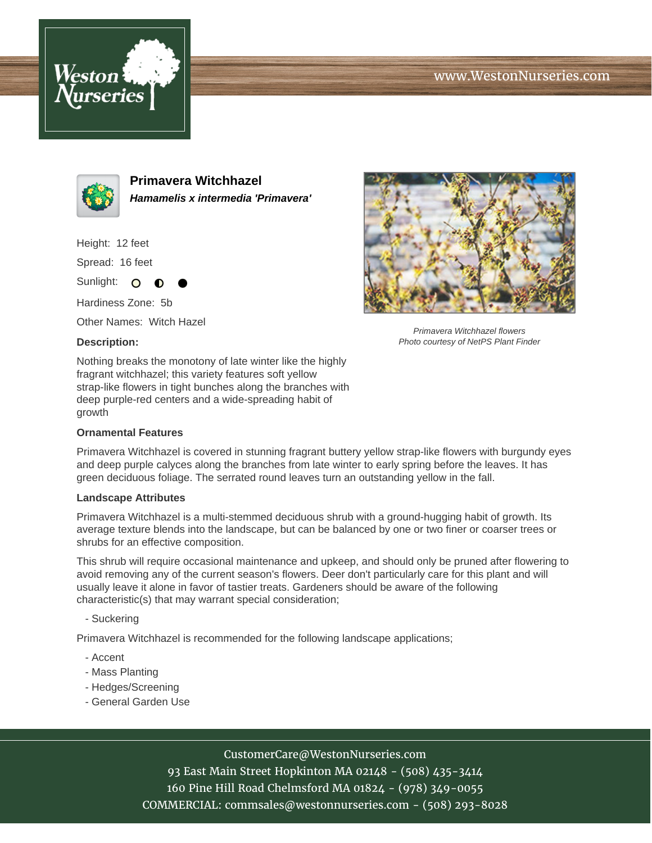





**Primavera Witchhazel Hamamelis x intermedia 'Primavera'**

Height: 12 feet

Spread: 16 feet

Sunlight: O ∩

Hardiness Zone: 5b

Other Names: Witch Hazel

### **Description:**



Primavera Witchhazel flowers Photo courtesy of NetPS Plant Finder

Nothing breaks the monotony of late winter like the highly fragrant witchhazel; this variety features soft yellow strap-like flowers in tight bunches along the branches with deep purple-red centers and a wide-spreading habit of growth

### **Ornamental Features**

Primavera Witchhazel is covered in stunning fragrant buttery yellow strap-like flowers with burgundy eyes and deep purple calyces along the branches from late winter to early spring before the leaves. It has green deciduous foliage. The serrated round leaves turn an outstanding yellow in the fall.

### **Landscape Attributes**

Primavera Witchhazel is a multi-stemmed deciduous shrub with a ground-hugging habit of growth. Its average texture blends into the landscape, but can be balanced by one or two finer or coarser trees or shrubs for an effective composition.

This shrub will require occasional maintenance and upkeep, and should only be pruned after flowering to avoid removing any of the current season's flowers. Deer don't particularly care for this plant and will usually leave it alone in favor of tastier treats. Gardeners should be aware of the following characteristic(s) that may warrant special consideration;

- Suckering

Primavera Witchhazel is recommended for the following landscape applications;

- Accent
- Mass Planting
- Hedges/Screening
- General Garden Use

# CustomerCare@WestonNurseries.com

93 East Main Street Hopkinton MA 02148 - (508) 435-3414 160 Pine Hill Road Chelmsford MA 01824 - (978) 349-0055 COMMERCIAL: commsales@westonnurseries.com - (508) 293-8028